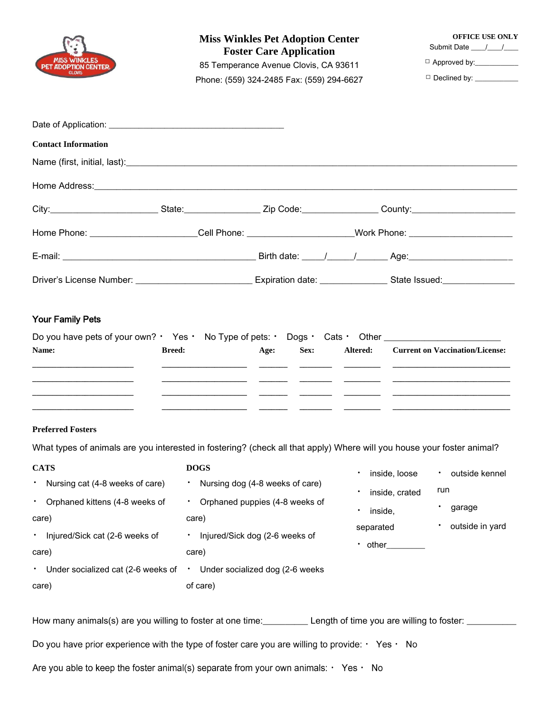| <b>MISS WINKLES</b><br><b>ADOPTION CENTER</b>                                                                                                           | <b>Miss Winkles Pet Adoption Center</b><br><b>Foster Care Application</b><br>85 Temperance Avenue Clovis, CA 93611<br>Phone: (559) 324-2485 Fax: (559) 294-6627 |                                 |  |                      | <b>OFFICE USE ONLY</b><br>Submit Date / /<br>Approved by:<br>$\Box$ Declined by: ___________ |                                                    |
|---------------------------------------------------------------------------------------------------------------------------------------------------------|-----------------------------------------------------------------------------------------------------------------------------------------------------------------|---------------------------------|--|----------------------|----------------------------------------------------------------------------------------------|----------------------------------------------------|
|                                                                                                                                                         |                                                                                                                                                                 |                                 |  |                      |                                                                                              |                                                    |
| <b>Contact Information</b>                                                                                                                              |                                                                                                                                                                 |                                 |  |                      |                                                                                              |                                                    |
|                                                                                                                                                         |                                                                                                                                                                 |                                 |  |                      |                                                                                              |                                                    |
|                                                                                                                                                         |                                                                                                                                                                 |                                 |  |                      |                                                                                              |                                                    |
| City:___________________________State:__________________Zip Code:_________________County:_____________________                                          |                                                                                                                                                                 |                                 |  |                      |                                                                                              |                                                    |
| Home Phone: _______________________Cell Phone: ______________________Work Phone: ________________________                                               |                                                                                                                                                                 |                                 |  |                      |                                                                                              |                                                    |
|                                                                                                                                                         |                                                                                                                                                                 |                                 |  |                      |                                                                                              |                                                    |
| Driver's License Number: ________________________________Expiration date: ______________State Issued: ___________                                       |                                                                                                                                                                 |                                 |  |                      |                                                                                              |                                                    |
|                                                                                                                                                         |                                                                                                                                                                 |                                 |  |                      |                                                                                              |                                                    |
| <b>Preferred Fosters</b><br>What types of animals are you interested in fostering? (check all that apply) Where will you house your foster animal?      |                                                                                                                                                                 |                                 |  |                      |                                                                                              |                                                    |
| <b>CATS</b><br>• Nursing cat (4-8 weeks of care)<br>Orphaned kittens (4-8 weeks of<br>$\bullet$ .<br>care)<br>* Injured/Sick cat (2-6 weeks of<br>care) | <b>DOGS</b><br>$\mathcal{F}_{\mathcal{A}}$<br>• Orphaned puppies (4-8 weeks of<br>care)<br>* Injured/Sick dog (2-6 weeks of<br>care)                            | Nursing dog (4-8 weeks of care) |  | inside,<br>separated | inside, loose<br>inside, crated<br>$\cdot$ other                                             | outside kennel<br>run<br>garage<br>outside in yard |
| * Under socialized cat (2-6 weeks of * Under socialized dog (2-6 weeks<br>care)                                                                         | of care)                                                                                                                                                        |                                 |  |                      |                                                                                              |                                                    |
| How many animals(s) are you willing to foster at one time: Lackerry Length of time you are willing to foster: Lacker                                    |                                                                                                                                                                 |                                 |  |                      |                                                                                              |                                                    |
| Do you have prior experience with the type of foster care you are willing to provide: $\cdot$ Yes $\cdot$ No                                            |                                                                                                                                                                 |                                 |  |                      |                                                                                              |                                                    |

Are you able to keep the foster animal(s) separate from your own animals:  $\cdot$  Yes  $\cdot$  No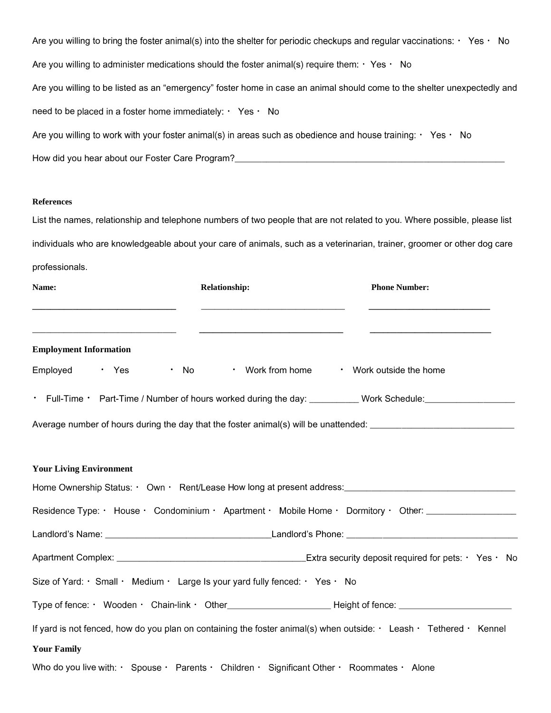| Are you willing to bring the foster animal(s) into the shelter for periodic checkups and regular vaccinations: $\cdot$ Yes $\cdot$ No |
|---------------------------------------------------------------------------------------------------------------------------------------|
| Are you willing to administer medications should the foster animal(s) require them: $\cdot$ Yes $\cdot$ No                            |
| Are you willing to be listed as an "emergency" foster home in case an animal should come to the shelter unexpectedly and              |
| need to be placed in a foster home immediately: $\cdot$ Yes $\cdot$ No                                                                |
| Are you willing to work with your foster animal(s) in areas such as obedience and house training: $\cdot$ Yes $\cdot$ No              |
| How did you hear about our Foster Care Program?                                                                                       |

## **References**

List the names, relationship and telephone numbers of two people that are not related to you. Where possible, please list individuals who are knowledgeable about your care of animals, such as a veterinarian, trainer, groomer or other dog care professionals.

| Name:<br><u> 1989 - Johann Barbara, martxa al III-lea (h. 1989).</u> | Relationship:<br><u> 1989 - Johann Barbara, martin amerikan basar dan berasal dalam basa dalam basar dalam basar dalam basa dalam</u> | <b>Phone Number:</b>                                                                                                                  |
|----------------------------------------------------------------------|---------------------------------------------------------------------------------------------------------------------------------------|---------------------------------------------------------------------------------------------------------------------------------------|
|                                                                      |                                                                                                                                       |                                                                                                                                       |
| <b>Employment Information</b>                                        |                                                                                                                                       |                                                                                                                                       |
| Employed · Yes · No                                                  |                                                                                                                                       | • Work from home • Work outside the home                                                                                              |
|                                                                      |                                                                                                                                       | • Full-Time • Part-Time / Number of hours worked during the day: __________ Work Schedule: _______________                            |
|                                                                      |                                                                                                                                       | Average number of hours during the day that the foster animal(s) will be unattended: _________________________                        |
| <b>Your Living Environment</b>                                       |                                                                                                                                       |                                                                                                                                       |
|                                                                      |                                                                                                                                       |                                                                                                                                       |
|                                                                      |                                                                                                                                       | Residence Type: · House · Condominium · Apartment · Mobile Home · Dormitory · Other:                                                  |
|                                                                      |                                                                                                                                       |                                                                                                                                       |
|                                                                      |                                                                                                                                       |                                                                                                                                       |
|                                                                      | Size of Yard: $\cdot$ Small $\cdot$ Medium $\cdot$ Large Is your yard fully fenced: $\cdot$ Yes $\cdot$ No                            |                                                                                                                                       |
|                                                                      |                                                                                                                                       | Type of fence: ・ Wooden ・ Chain-link ・ Other_________________________Height of fence: ________________________                        |
|                                                                      |                                                                                                                                       | If yard is not fenced, how do you plan on containing the foster animal(s) when outside: $\cdot$ Leash $\cdot$ Tethered $\cdot$ Kennel |
| <b>Your Family</b>                                                   |                                                                                                                                       |                                                                                                                                       |
|                                                                      | Who do you live with: $\cdot$ Spouse $\cdot$ Parents $\cdot$ Children $\cdot$ Significant Other $\cdot$ Roommates $\cdot$ Alone       |                                                                                                                                       |